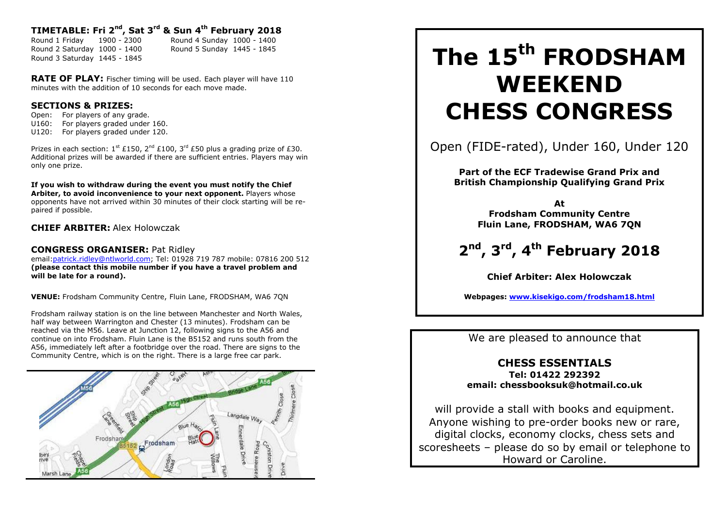## **TIMETABLE: Fri 2 nd, Sat 3 rd & Sun 4 th February 2018**

Round 1 Friday 1900 - 2300 Round 4 Sunday 1000 - 1400 Round 2 Saturday 1000 - 1400 Round 5 Sunday 1445 - 1845 Round 3 Saturday 1445 - 1845

**RATE OF PLAY:** Fischer timing will be used. Each player will have 110 minutes with the addition of 10 seconds for each move made.

### **SECTIONS & PRIZES:**

Open: For players of any grade. U160: For players graded under 160. U120: For players graded under 120.

Prizes in each section:  $1^{st}$  £150,  $2^{nd}$  £100,  $3^{rd}$  £50 plus a grading prize of £30. Additional prizes will be awarded if there are sufficient entries. Players may win only one prize.

**If you wish to withdraw during the event you must notify the Chief Arbiter, to avoid inconvenience to your next opponent.** Players whose opponents have not arrived within 30 minutes of their clock starting will be repaired if possible.

**CHIEF ARBITER:** Alex Holowczak

### **CONGRESS ORGANISER:** Pat Ridley

email:patrick.ridley@ntlworld.com; Tel: 01928 719 787 mobile: 07816 200 512 **(please contact this mobile number if you have a travel problem and will be late for a round).**

**VENUE:** Frodsham Community Centre, Fluin Lane, FRODSHAM, WA6 7QN

Frodsham railway station is on the line between Manchester and North Wales, half way between Warrington and Chester (13 minutes). Frodsham can be reached via the M56. Leave at Junction 12, following signs to the A56 and continue on into Frodsham. Fluin Lane is the B5152 and runs south from the A56, immediately left after a footbridge over the road. There are signs to the Community Centre, which is on the right. There is a large free car park.



# **The 15th FRODSHAM WEEKEND CHESS CONGRESS**

Open (FIDE-rated), Under 160, Under 120

**Part of the ECF Tradewise Grand Prix and British Championship Qualifying Grand Prix**

> **At Frodsham Community Centre Fluin Lane, FRODSHAM, WA6 7QN**

**2 nd , 3 rd , 4 th February 2018**

**Chief Arbiter: Alex Holowczak**

**Webpages: www.kisekigo.com/frodsham18.html**

We are pleased to announce that

## **CHESS ESSENTIALS**

**Tel: 01422 292392 email: chessbooksuk@hotmail.co.uk**

will provide a stall with books and equipment. Anyone wishing to pre-order books new or rare, digital clocks, economy clocks, chess sets and scoresheets – please do so by email or telephone to Howard or Caroline.